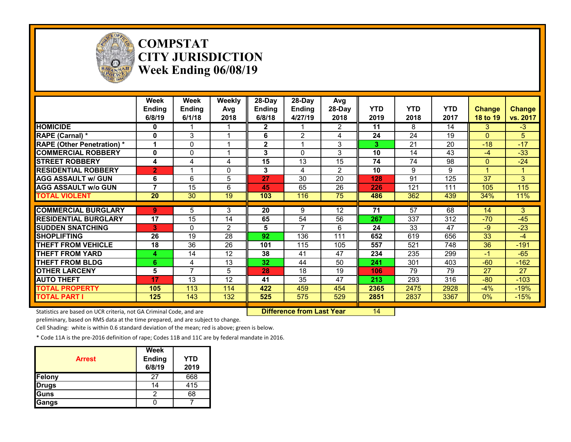

## **COMPSTAT CITY JURISDICTION Week Ending 06/08/19**

|                                  | Week<br><b>Ending</b><br>6/8/19 | Week<br><b>Ending</b><br>6/1/18 | Weekly<br>Avg<br>2018 | $28-Day$<br><b>Ending</b><br>6/8/18 | $28-Day$<br><b>Ending</b><br>4/27/19 | Avg<br>28-Day<br>2018 | <b>YTD</b><br>2019 | <b>YTD</b><br>2018 | <b>YTD</b><br>2017 | Change<br>18 to 19 | <b>Change</b><br>vs. 2017 |
|----------------------------------|---------------------------------|---------------------------------|-----------------------|-------------------------------------|--------------------------------------|-----------------------|--------------------|--------------------|--------------------|--------------------|---------------------------|
| <b>HOMICIDE</b>                  | 0                               |                                 |                       | $\mathbf{2}$                        |                                      | $\overline{2}$        | 11                 | 8                  | 14                 | 3                  | $-3$                      |
| RAPE (Carnal) *                  | 0                               | 3                               |                       | 6                                   | 2                                    | 4                     | 24                 | 24                 | 19                 | $\Omega$           | 5                         |
| <b>RAPE (Other Penetration)*</b> |                                 | $\mathbf{0}$                    |                       | $\mathbf 2$                         |                                      | 3                     | 3                  | 21                 | 20                 | $-18$              | $-17$                     |
| <b>ICOMMERCIAL ROBBERY</b>       | 0                               | $\Omega$                        |                       | 3                                   | $\Omega$                             | 3                     | 10                 | 14                 | 43                 | $-4$               | $-33$                     |
| <b>STREET ROBBERY</b>            | 4                               | 4                               | 4                     | 15                                  | 13                                   | 15                    | 74                 | 74                 | 98                 | $\Omega$           | $-24$                     |
| <b>RESIDENTIAL ROBBERY</b>       | $\overline{2}$                  |                                 | 0                     | 3                                   | 4                                    | $\overline{2}$        | 10                 | 9                  | 9                  |                    |                           |
| <b>AGG ASSAULT w/ GUN</b>        | 6                               | 6                               | 5                     | 27                                  | 30                                   | 20                    | 128                | 91                 | 125                | 37                 | 3                         |
| <b>AGG ASSAULT w/o GUN</b>       | 7                               | 15                              | 6                     | 45                                  | 65                                   | 26                    | 226                | 121                | 111                | 105                | 115                       |
| <b>TOTAL VIOLENT</b>             | 20                              | 30                              | 19                    | 103                                 | 116                                  | 75                    | 486                | 362                | 439                | 34%                | 11%                       |
|                                  |                                 |                                 |                       |                                     |                                      |                       |                    |                    |                    |                    |                           |
| <b>COMMERCIAL BURGLARY</b>       | 9                               | 5                               | 3                     | 20                                  | 9                                    | 12                    | 71                 | 57                 | 68                 | 14                 | 3                         |
| <b>RESIDENTIAL BURGLARY</b>      | 17                              | 15                              | 14                    | 65                                  | 54                                   | 56                    | 267                | 337                | 312                | $-70$              | $-45$                     |
| <b>SUDDEN SNATCHING</b>          | 3                               | $\Omega$                        | $\overline{2}$        | 5                                   | 7                                    | 6                     | 24                 | 33                 | 47                 | $-9$               | $-23$                     |
| <b>SHOPLIFTING</b>               | 26                              | 19                              | 28                    | 92                                  | 136                                  | 111                   | 652                | 619                | 656                | 33                 | $-4$                      |
| <b>THEFT FROM VEHICLE</b>        | 18                              | 36                              | 26                    | 101                                 | 115                                  | 105                   | 557                | 521                | 748                | 36                 | $-191$                    |
| <b>THEFT FROM YARD</b>           | 4                               | 14                              | 12                    | 38                                  | 41                                   | 47                    | 234                | 235                | 299                | $-1$               | $-65$                     |
| <b>THEFT FROM BLDG</b>           | 6                               | 4                               | 13                    | 32                                  | 44                                   | 50                    | 241                | 301                | 403                | $-60$              | $-162$                    |
| <b>OTHER LARCENY</b>             | 5                               | 7                               | 5                     | 28                                  | 18                                   | 19                    | 106                | 79                 | 79                 | 27                 | 27                        |
| <b>AUTO THEFT</b>                | 17                              | 13                              | 12                    | 41                                  | 35                                   | 47                    | 213                | 293                | 316                | $-80$              | $-103$                    |
| <b>TOTAL PROPERTY</b>            | 105                             | 113                             | 114                   | 422                                 | 459                                  | 454                   | 2365               | 2475               | 2928               | $-4%$              | $-19%$                    |
| <b>TOTAL PART I</b>              | 125                             | 143                             | 132                   | 525                                 | 575                                  | 529                   | 2851               | 2837               | 3367               | $0\%$              | $-15%$                    |

Statistics are based on UCR criteria, not GA Criminal Code, and are **Difference from Last Year** 14

preliminary, based on RMS data at the time prepared, and are subject to change.

Cell Shading: white is within 0.6 standard deviation of the mean; red is above; green is below.

| <b>Arrest</b> | <b>Week</b><br><b>Ending</b><br>6/8/19 | <b>YTD</b><br>2019 |
|---------------|----------------------------------------|--------------------|
| Felony        | 27                                     | 668                |
| <b>Drugs</b>  | 14                                     | 415                |
| Guns          |                                        | 68                 |
| Gangs         |                                        |                    |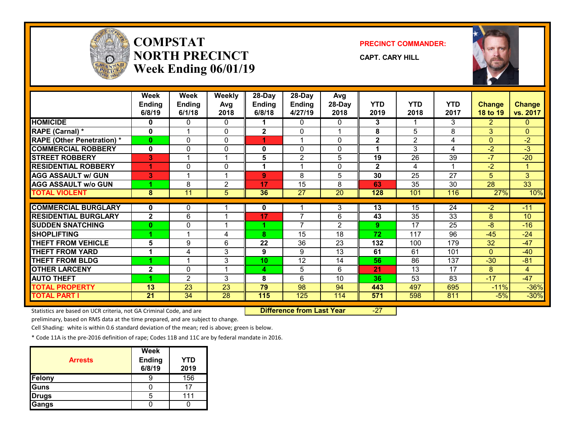

## **COMPSTATNORTH PRECINCTWeek Ending 06/01/19**

**PRECINCT COMMANDER:**

**CAPT. CARY HILL**



|                                   | Week           | Week           | <b>Weekly</b>  | 28-Day         | 28-Day          | Avg             |              |                 |                 |                          |                 |
|-----------------------------------|----------------|----------------|----------------|----------------|-----------------|-----------------|--------------|-----------------|-----------------|--------------------------|-----------------|
|                                   | <b>Ending</b>  | <b>Ending</b>  | Avg            | <b>Ending</b>  | <b>Ending</b>   | 28-Day          | <b>YTD</b>   | <b>YTD</b>      | <b>YTD</b>      | <b>Change</b>            | <b>Change</b>   |
|                                   | 6/8/19         | 6/1/18         | 2018           | 6/8/18         | 4/27/19         | 2018            | 2019         | 2018            | 2017            | <b>18 to 19</b>          | vs. 2017        |
| <b>HOMICIDE</b>                   | 0              | 0              | 0              |                | $\mathbf{0}$    | 0               | 3            |                 | 3               | 2.                       | 0               |
| RAPE (Carnal) *                   | 0              |                | $\Omega$       | $\overline{2}$ | 0               |                 | 8            | 5               | 8               | 3                        | $\overline{0}$  |
| <b>RAPE (Other Penetration) *</b> | $\bf{0}$       | 0              | $\mathbf{0}$   |                |                 | $\Omega$        | $\mathbf{2}$ | $\overline{2}$  | 4               | 0                        | $-2$            |
| <b>COMMERCIAL ROBBERY</b>         | $\mathbf 0$    | $\mathbf{0}$   | 0              | 0              | $\mathbf{0}$    | $\Omega$        | 1            | 3               | 4               | $-2$                     | $-3$            |
| <b>STREET ROBBERY</b>             | 3              |                | 1              | 5              | 2               | 5               | 19           | $\overline{26}$ | $\overline{39}$ | $\overline{\mathcal{U}}$ | $-20$           |
| <b>RESIDENTIAL ROBBERY</b>        | 4              | 0              | 0              | 1              | 4               | 0               | $\mathbf{2}$ | 4               |                 | $-2$                     | $\mathbf{1}$    |
| <b>AGG ASSAULT w/ GUN</b>         | 3              |                | 1              | 9              | 8               | 5               | 30           | 25              | 27              | 5 <sup>5</sup>           | 3               |
| <b>AGG ASSAULT w/o GUN</b>        |                | 8              | $\overline{2}$ | 17             | $\overline{15}$ | 8               | 63           | $\overline{35}$ | $\overline{30}$ | $\overline{28}$          | $\overline{33}$ |
| <b>TOTAL VIOLENT</b>              | 8              | 11             | 5              | 36             | $\overline{27}$ | $\overline{20}$ | 128          | 101             | 116             | 27%                      | 10%             |
|                                   |                |                |                |                |                 |                 |              |                 |                 |                          |                 |
| <b>COMMERCIAL BURGLARY</b>        | 0              | 0              |                | 0              |                 | 3               | 13           | 15              | 24              | $-2$                     | $-11$           |
| <b>RESIDENTIAL BURGLARY</b>       | $\overline{2}$ | 6              | 1              | 17             | 7               | 6               | 43           | 35              | $\overline{33}$ | 8                        | 10              |
| <b>SUDDEN SNATCHING</b>           | $\bf{0}$       | 0              | 1              |                | 7               | 2               | 9            | 17              | 25              | $-8$                     | $-16$           |
| <b>SHOPLIFTING</b>                |                |                | 4              | 8              | 15              | 18              | 72           | 117             | 96              | $-45$                    | $-24$           |
| <b>THEFT FROM VEHICLE</b>         | 5              | 9              | 6              | 22             | 36              | 23              | 132          | 100             | 179             | 32                       | $-47$           |
| <b>THEFT FROM YARD</b>            |                | 4              | 3              | 9              | 9               | 13              | 61           | 61              | 101             | $\Omega$                 | $-40$           |
| <b>THEFT FROM BLDG</b>            |                |                | 3              | 10             | 12              | 14              | 56           | 86              | 137             | $-30$                    | $-81$           |
| <b>OTHER LARCENY</b>              | $\mathbf{2}$   | 0              | 1              | 4              | 5               | 6               | 21           | 13              | 17              | 8                        | 4               |
| <b>AUTO THEFT</b>                 |                | $\overline{2}$ | 3              | 8              | 6               | 10              | 36           | 53              | 83              | $-17$                    | $-47$           |
| <b>TOTAL PROPERTY</b>             | 13             | 23             | 23             | 79             | 98              | 94              | 443          | 497             | 695             | $-11%$                   | $-36%$          |
| <b>TOTAL PART I</b>               | 21             | 34             | 28             | 115            | 125             | 114             | 571          | 598             | 811             | $-5%$                    | $-30%$          |

Statistics are based on UCR criteria, not GA Criminal Code, and are **Difference from Last Year** -27

preliminary, based on RMS data at the time prepared, and are subject to change.

Cell Shading: white is within 0.6 standard deviation of the mean; red is above; green is below.

| <b>Arrests</b> | <b>Week</b><br><b>Ending</b><br>6/8/19 | YTD<br>2019 |
|----------------|----------------------------------------|-------------|
| Felony         |                                        | 156         |
| Guns           |                                        | 17          |
| <b>Drugs</b>   | 5                                      | 111         |
| Gangs          |                                        |             |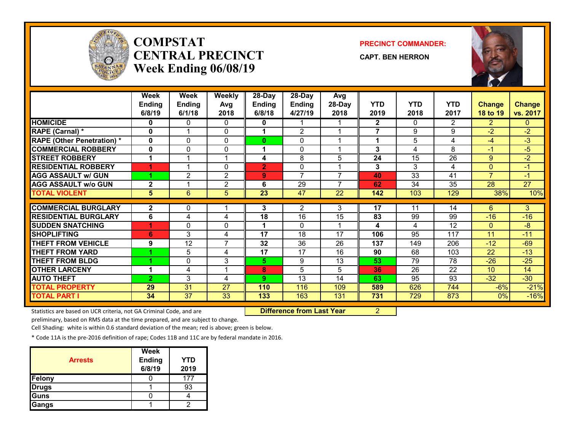

## **COMPSTATCENTRAL PRECINCTWeek Ending 06/08/19**

#### **PRECINCT COMMANDER:**

**CAPT. BEN HERRON**



|                                   | <b>Week</b>    | Week            | <b>Weekly</b>           | 28-Day         | 28-Day         | Avg                      |                |                  |                 |                 |                 |
|-----------------------------------|----------------|-----------------|-------------------------|----------------|----------------|--------------------------|----------------|------------------|-----------------|-----------------|-----------------|
|                                   | <b>Ending</b>  | <b>Ending</b>   | Avg                     | <b>Ending</b>  | <b>Ending</b>  | 28-Day                   | <b>YTD</b>     | <b>YTD</b>       | <b>YTD</b>      | <b>Change</b>   | <b>Change</b>   |
|                                   | 6/8/19         | 6/1/18          | 2018                    | 6/8/18         | 4/27/19        | 2018                     | 2019           | 2018             | 2017            | 18 to 19        | vs. 2017        |
| <b>HOMICIDE</b>                   | 0              | 0               | 0                       | 0              |                |                          | $\mathbf{2}$   | 0                | 2               | $\overline{2}$  | 0               |
| RAPE (Carnal) *                   | 0              |                 | 0                       |                | $\mathfrak{p}$ |                          | $\overline{7}$ | 9                | 9               | $-2$            | $-2$            |
| <b>RAPE (Other Penetration) *</b> | $\bf{0}$       | $\Omega$        | 0                       | $\bf{0}$       | $\Omega$       |                          | 1              | 5.               | 4               | $-4$            | -3              |
| <b>COMMERCIAL ROBBERY</b>         | $\bf{0}$       | 0               | 0                       |                | $\Omega$       |                          | 3              | 4                | 8               | $-1$            | $-5$            |
| <b>STREET ROBBERY</b>             |                |                 | и                       | 4              | 8              | 5                        | 24             | 15               | $\overline{26}$ | 9               | $-2$            |
| <b>RESIDENTIAL ROBBERY</b>        | 4              | $\overline{A}$  | 0                       | $\overline{2}$ | $\Omega$       |                          | 3              | 3                | 4               | $\overline{0}$  | $-1$            |
| <b>AGG ASSAULT w/ GUN</b>         |                | $\overline{2}$  | $\overline{2}$          | 9              | $\overline{7}$ | $\overline{\phantom{a}}$ | 40             | 33               | 41              | $\overline{7}$  | $-1$            |
| <b>AGG ASSAULT W/o GUN</b>        | $\mathbf{2}$   |                 | $\overline{2}$          | 6              | 29             | $\overline{\phantom{a}}$ | 62             | 34               | $\overline{35}$ | $\overline{28}$ | $\overline{27}$ |
| <b>TOTAL VIOLENT</b>              | 5              | $6\phantom{1}$  | 5                       | 23             | 47             | 22                       | 142            | 103              | 129             | 38%             | 10%             |
|                                   |                |                 |                         |                |                |                          |                |                  |                 |                 |                 |
| <b>COMMERCIAL BURGLARY</b>        | $\mathbf{2}$   | 0               |                         | 3              | 2              | 3                        | 17             | 11               | 14              | 6               | 3               |
| <b>RESIDENTIAL BURGLARY</b>       | 6              | 4               | 4                       | 18             | 16             | 15                       | 83             | 99               | 99              | $-16$           | $-16$           |
| <b>SUDDEN SNATCHING</b>           | и              | 0               | 0                       |                | $\Omega$       |                          | 4              | 4                | 12              | $\Omega$        | -8              |
| <b>SHOPLIFTING</b>                | 6              | 3               | 4                       | 17             | 18             | 17                       | 106            | 95               | 117             | 11              | $-11$           |
| <b>THEFT FROM VEHICLE</b>         | 9              | 12              | 7                       | 32             | 36             | 26                       | 137            | 149              | 206             | $-12$           | $-69$           |
| <b>THEFT FROM YARD</b>            |                | 5               | 4                       | 17             | 17             | 16                       | 90             | 68               | 103             | 22              | $-13$           |
| <b>THEFT FROM BLDG</b>            |                | 0               | 3                       | 5              | 9              | 13                       | 53             | 79               | 78              | $-26$           | $-25$           |
| <b>OTHER LARCENY</b>              | 4              | 4               | $\overline{\mathbf{A}}$ | 8              | 5              | 5                        | 36             | 26               | 22              | 10 <sup>°</sup> | 14              |
| <b>AUTO THEFT</b>                 | $\overline{2}$ | 3               | 4                       | 9              | 13             | 14                       | 63             | 95               | 93              | $-32$           | $-30$           |
| <b>TOTAL PROPERTY</b>             | 29             | $\overline{31}$ | 27                      | 110            | 116            | 109                      | 589            | 626              | 744             | $-6%$           | $-21%$          |
| <b>TOTAL PART I</b>               | 34             | 37              | $\overline{33}$         | 133            | 163            | 131                      | 731            | $\overline{729}$ | 873             | $0\%$           | $-16%$          |

Statistics are based on UCR criteria, not GA Criminal Code, and are **Difference from Last Year** 2

preliminary, based on RMS data at the time prepared, and are subject to change.

Cell Shading: white is within 0.6 standard deviation of the mean; red is above; green is below.

| <b>Arrests</b> | Week<br><b>Ending</b><br>6/8/19 | <b>YTD</b><br>2019 |
|----------------|---------------------------------|--------------------|
| Felony         |                                 | 177                |
| <b>Drugs</b>   |                                 | 93                 |
| Guns           |                                 |                    |
| Gangs          |                                 |                    |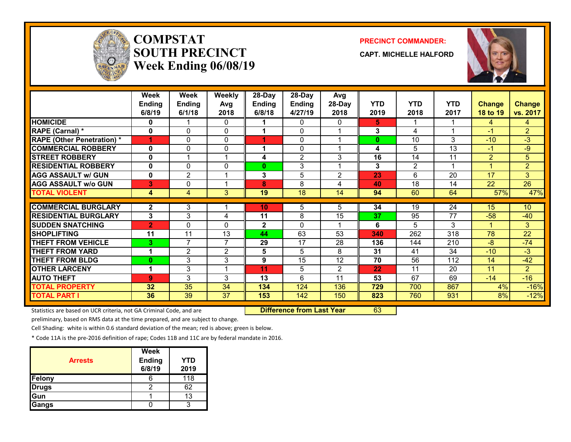

# **COMPSTATSOUTH PRECINCTWeek Ending 06/08/19**

#### **PRECINCT COMMANDER:**

**CAPT. MICHELLE HALFORD**



|                                   | Week<br><b>Ending</b><br>6/8/19 | Week<br><b>Ending</b><br>6/1/18 | <b>Weekly</b><br>Avg<br>2018 | 28-Day<br>Ending<br>6/8/18 | $28$ -Day<br><b>Ending</b><br>4/27/19 | Avg<br>28-Day<br>2018 | <b>YTD</b><br>2019 | <b>YTD</b><br>2018 | <b>YTD</b><br>2017 | <b>Change</b><br><b>18 to 19</b> | <b>Change</b><br>vs. 2017 |
|-----------------------------------|---------------------------------|---------------------------------|------------------------------|----------------------------|---------------------------------------|-----------------------|--------------------|--------------------|--------------------|----------------------------------|---------------------------|
| <b>HOMICIDE</b>                   | 0                               |                                 | 0                            |                            | 0                                     | 0                     | 5.                 |                    |                    | 4                                | 4                         |
| RAPE (Carnal) *                   | 0                               | 0                               | 0                            |                            | 0                                     |                       | 3                  | 4                  |                    | $-1$                             | $\overline{2}$            |
| <b>RAPE (Other Penetration) *</b> | 1                               | 0                               | 0                            |                            | $\mathbf{0}$                          |                       | $\bf{0}$           | 10                 | 3                  | $-10$                            | $-3$                      |
| <b>COMMERCIAL ROBBERY</b>         | 0                               | 0                               | 0                            |                            | $\Omega$                              |                       | 4                  | 5                  | 13                 | $-1$                             | $-9$                      |
| <b>STREET ROBBERY</b>             | 0                               |                                 | 1                            | 4                          | $\overline{2}$                        | 3                     | 16                 | 14                 | 11                 | $\overline{2}$                   | 5 <sup>5</sup>            |
| <b>RESIDENTIAL ROBBERY</b>        | 0                               | 0                               | 0                            | 0                          | 3                                     |                       | 3                  | $\overline{2}$     |                    |                                  | $\overline{2}$            |
| <b>AGG ASSAULT w/ GUN</b>         | 0                               | $\overline{2}$                  | 1                            | 3                          | 5                                     | $\mathbf{2}$          | 23                 | 6                  | 20                 | 17                               | 3                         |
| <b>AGG ASSAULT w/o GUN</b>        | 3                               | 0                               | 1                            | 8                          | 8                                     | 4                     | 40                 | 18                 | 14                 | 22                               | $\overline{26}$           |
| <b>TOTAL VIOLENT</b>              | 4                               | 4                               | 3                            | 19                         | 18                                    | 14                    | 94                 | 60                 | 64                 | 57%                              | 47%                       |
| <b>COMMERCIAL BURGLARY</b>        | $\mathbf{2}$                    | 3                               |                              | 10                         | 5                                     | 5                     | 34                 | 19                 | 24                 | 15                               | 10                        |
| <b>RESIDENTIAL BURGLARY</b>       | 3                               | 3                               |                              | 11                         | 8                                     | 15                    | 37                 | 95                 | 77                 | $-58$                            | $-40$                     |
| <b>SUDDEN SNATCHING</b>           | $\overline{2}$                  | 0                               | 4<br>$\mathbf{0}$            | $\mathbf{2}$               | $\Omega$                              |                       | 6                  | 5                  | 3                  |                                  | 3                         |
| <b>SHOPLIFTING</b>                | 11                              | 11                              | 13                           | 44                         | 63                                    | 53                    | 340                | 262                | 318                | 78                               | $\overline{22}$           |
| <b>THEFT FROM VEHICLE</b>         | 3                               | 7                               | $\overline{7}$               | 29                         | 17                                    | 28                    | 136                | 144                | 210                | $-8$                             | $-74$                     |
| <b>THEFT FROM YARD</b>            | 1                               | 2                               | 2                            | 5                          | 5                                     | 8                     | 31                 | 41                 | 34                 | $-10$                            | $-3$                      |
| <b>THEFT FROM BLDG</b>            | 0                               | 3                               | 3                            | 9                          | 15                                    | 12                    | 70                 | 56                 | 112                | 14                               | $-42$                     |
| <b>OTHER LARCENY</b>              | 1                               | 3                               | 1                            | 11                         | 5                                     | 2                     | 22                 | 11                 | 20                 | 11                               | $\overline{2}$            |
| <b>AUTO THEFT</b>                 | 9                               | 3                               | 3                            | 13                         | 6                                     | 11                    | 53                 | 67                 | 69                 | $-14$                            | $-16$                     |
| <b>TOTAL PROPERTY</b>             | 32                              | 35                              | 34                           | 134                        | 124                                   | 136                   | 729                | 700                | 867                | 4%                               | $-16%$                    |
| <b>TOTAL PART I</b>               | 36                              | 39                              | 37                           | 153                        | 142                                   | 150                   | 823                | 760                | 931                | 8%                               | $-12%$                    |

Statistics are based on UCR criteria, not GA Criminal Code, and are **Difference from Last Year** 63

preliminary, based on RMS data at the time prepared, and are subject to change.

Cell Shading: white is within 0.6 standard deviation of the mean; red is above; green is below.

| <b>Arrests</b> | <b>Week</b><br><b>Ending</b><br>6/8/19 | YTD<br>2019 |
|----------------|----------------------------------------|-------------|
| Felony         |                                        | 118         |
| <b>Drugs</b>   |                                        | 62          |
| Gun            |                                        | 13          |
| Gangs          |                                        |             |